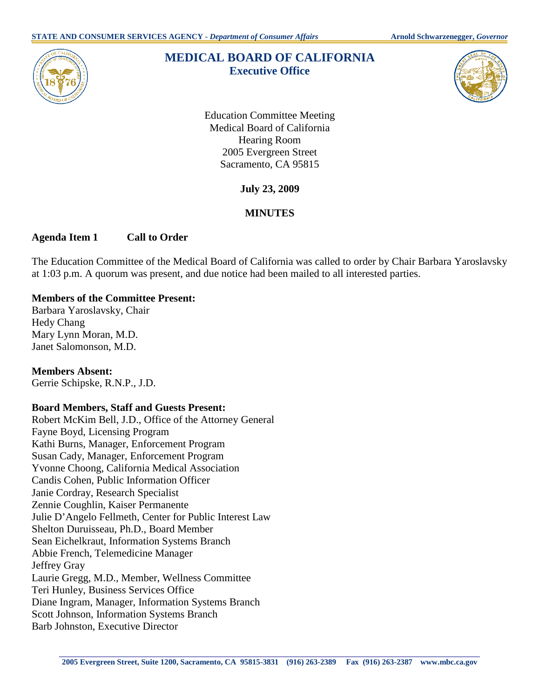

# **MEDICAL BOARD OF CALIFORNIA Executive Office**



Education Committee Meeting Medical Board of California Hearing Room 2005 Evergreen Street Sacramento, CA 95815

**July 23, 2009** 

# **MINUTES**

## **Agenda Item 1 Call to Order**

The Education Committee of the Medical Board of California was called to order by Chair Barbara Yaroslavsky at 1:03 p.m. A quorum was present, and due notice had been mailed to all interested parties.

## **Members of the Committee Present:**

Barbara Yaroslavsky, Chair Hedy Chang Mary Lynn Moran, M.D. Janet Salomonson, M.D.

#### **Members Absent:**  Gerrie Schipske, R.N.P., J.D.

# **Board Members, Staff and Guests Present:**

 Robert McKim Bell, J.D., Office of the Attorney General Zennie Coughlin, Kaiser Permanente Fayne Boyd, Licensing Program Kathi Burns, Manager, Enforcement Program Susan Cady, Manager, Enforcement Program Yvonne Choong, California Medical Association Candis Cohen, Public Information Officer Janie Cordray, Research Specialist Julie D'Angelo Fellmeth, Center for Public Interest Law Shelton Duruisseau, Ph.D., Board Member Sean Eichelkraut, Information Systems Branch Abbie French, Telemedicine Manager Jeffrey Gray Laurie Gregg, M.D., Member, Wellness Committee Teri Hunley, Business Services Office Diane Ingram, Manager, Information Systems Branch Scott Johnson, Information Systems Branch Barb Johnston, Executive Director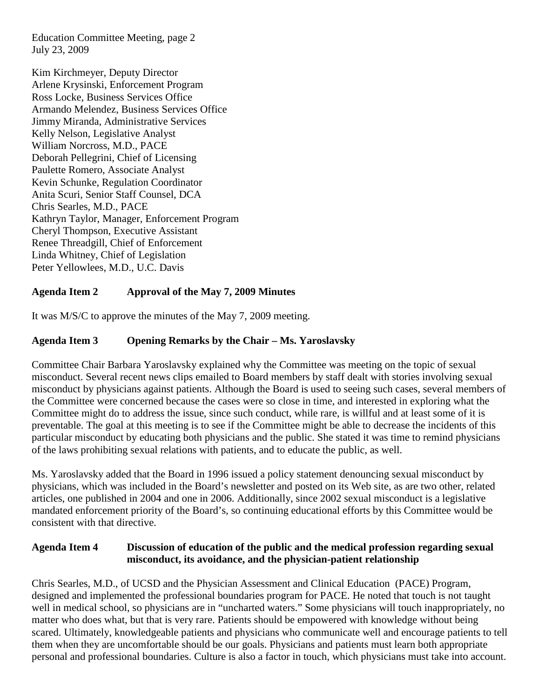Education Committee Meeting, page 2 July 23, 2009

 Deborah Pellegrini, Chief of Licensing Linda Whitney, Chief of Legislation Kim Kirchmeyer, Deputy Director Arlene Krysinski, Enforcement Program Ross Locke, Business Services Office Armando Melendez, Business Services Office Jimmy Miranda, Administrative Services Kelly Nelson, Legislative Analyst William Norcross, M.D., PACE Paulette Romero, Associate Analyst Kevin Schunke, Regulation Coordinator Anita Scuri, Senior Staff Counsel, DCA Chris Searles, M.D., PACE Kathryn Taylor, Manager, Enforcement Program Cheryl Thompson, Executive Assistant Renee Threadgill, Chief of Enforcement Peter Yellowlees, M.D., U.C. Davis

# **Agenda Item 2 Approval of the May 7, 2009 Minutes**

It was M/S/C to approve the minutes of the May 7, 2009 meeting.

# **Agenda Item 3 Opening Remarks by the Chair – Ms. Yaroslavsky**

 misconduct by physicians against patients. Although the Board is used to seeing such cases, several members of the Committee were concerned because the cases were so close in time, and interested in exploring what the preventable. The goal at this meeting is to see if the Committee might be able to decrease the incidents of this Committee Chair Barbara Yaroslavsky explained why the Committee was meeting on the topic of sexual misconduct. Several recent news clips emailed to Board members by staff dealt with stories involving sexual Committee might do to address the issue, since such conduct, while rare, is willful and at least some of it is particular misconduct by educating both physicians and the public. She stated it was time to remind physicians of the laws prohibiting sexual relations with patients, and to educate the public, as well.

 physicians, which was included in the Board's newsletter and posted on its Web site, as are two other, related Ms. Yaroslavsky added that the Board in 1996 issued a policy statement denouncing sexual misconduct by articles, one published in 2004 and one in 2006. Additionally, since 2002 sexual misconduct is a legislative mandated enforcement priority of the Board's, so continuing educational efforts by this Committee would be consistent with that directive.

#### **Agenda Item 4** Discussion of education of the public and the medical profession regarding sexual **misconduct, its avoidance, and the physician-patient relationship**

them when they are uncomfortable should be our goals. Physicians and patients must learn both appropriate Chris Searles, M.D., of UCSD and the Physician Assessment and Clinical Education (PACE) Program, designed and implemented the professional boundaries program for PACE. He noted that touch is not taught well in medical school, so physicians are in "uncharted waters." Some physicians will touch inappropriately, no matter who does what, but that is very rare. Patients should be empowered with knowledge without being scared. Ultimately, knowledgeable patients and physicians who communicate well and encourage patients to tell personal and professional boundaries. Culture is also a factor in touch, which physicians must take into account.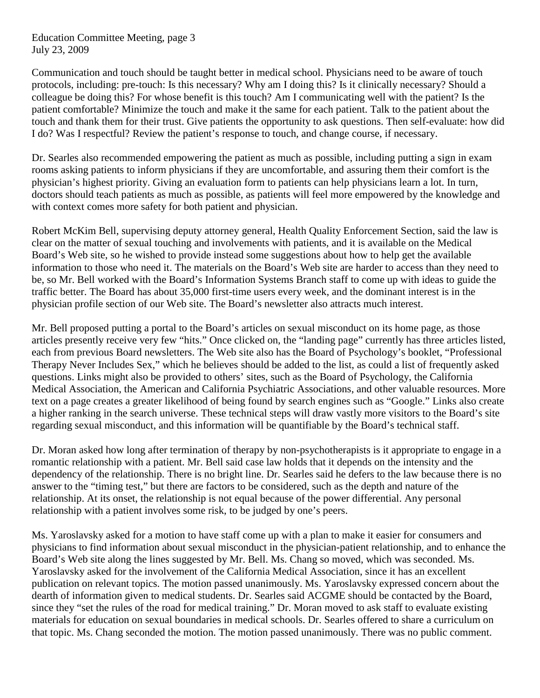Education Committee Meeting, page 3 July 23, 2009

Communication and touch should be taught better in medical school. Physicians need to be aware of touch protocols, including: pre-touch: Is this necessary? Why am I doing this? Is it clinically necessary? Should a colleague be doing this? For whose benefit is this touch? Am I communicating well with the patient? Is the patient comfortable? Minimize the touch and make it the same for each patient. Talk to the patient about the touch and thank them for their trust. Give patients the opportunity to ask questions. Then self-evaluate: how did I do? Was I respectful? Review the patient's response to touch, and change course, if necessary.

Dr. Searles also recommended empowering the patient as much as possible, including putting a sign in exam rooms asking patients to inform physicians if they are uncomfortable, and assuring them their comfort is the physician's highest priority. Giving an evaluation form to patients can help physicians learn a lot. In turn, doctors should teach patients as much as possible, as patients will feel more empowered by the knowledge and with context comes more safety for both patient and physician.

Robert McKim Bell, supervising deputy attorney general, Health Quality Enforcement Section, said the law is clear on the matter of sexual touching and involvements with patients, and it is available on the Medical Board's Web site, so he wished to provide instead some suggestions about how to help get the available information to those who need it. The materials on the Board's Web site are harder to access than they need to be, so Mr. Bell worked with the Board's Information Systems Branch staff to come up with ideas to guide the traffic better. The Board has about 35,000 first-time users every week, and the dominant interest is in the physician profile section of our Web site. The Board's newsletter also attracts much interest.

Mr. Bell proposed putting a portal to the Board's articles on sexual misconduct on its home page, as those articles presently receive very few "hits." Once clicked on, the "landing page" currently has three articles listed, each from previous Board newsletters. The Web site also has the Board of Psychology's booklet, "Professional Therapy Never Includes Sex," which he believes should be added to the list, as could a list of frequently asked questions. Links might also be provided to others' sites, such as the Board of Psychology, the California Medical Association, the American and California Psychiatric Associations, and other valuable resources. More text on a page creates a greater likelihood of being found by search engines such as "Google." Links also create a higher ranking in the search universe. These technical steps will draw vastly more visitors to the Board's site regarding sexual misconduct, and this information will be quantifiable by the Board's technical staff.

Dr. Moran asked how long after termination of therapy by non-psychotherapists is it appropriate to engage in a romantic relationship with a patient. Mr. Bell said case law holds that it depends on the intensity and the dependency of the relationship. There is no bright line. Dr. Searles said he defers to the law because there is no answer to the "timing test," but there are factors to be considered, such as the depth and nature of the relationship. At its onset, the relationship is not equal because of the power differential. Any personal relationship with a patient involves some risk, to be judged by one's peers.

Ms. Yaroslavsky asked for a motion to have staff come up with a plan to make it easier for consumers and physicians to find information about sexual misconduct in the physician-patient relationship, and to enhance the Board's Web site along the lines suggested by Mr. Bell. Ms. Chang so moved, which was seconded. Ms. Yaroslavsky asked for the involvement of the California Medical Association, since it has an excellent publication on relevant topics. The motion passed unanimously. Ms. Yaroslavsky expressed concern about the dearth of information given to medical students. Dr. Searles said ACGME should be contacted by the Board, since they "set the rules of the road for medical training." Dr. Moran moved to ask staff to evaluate existing materials for education on sexual boundaries in medical schools. Dr. Searles offered to share a curriculum on that topic. Ms. Chang seconded the motion. The motion passed unanimously. There was no public comment.